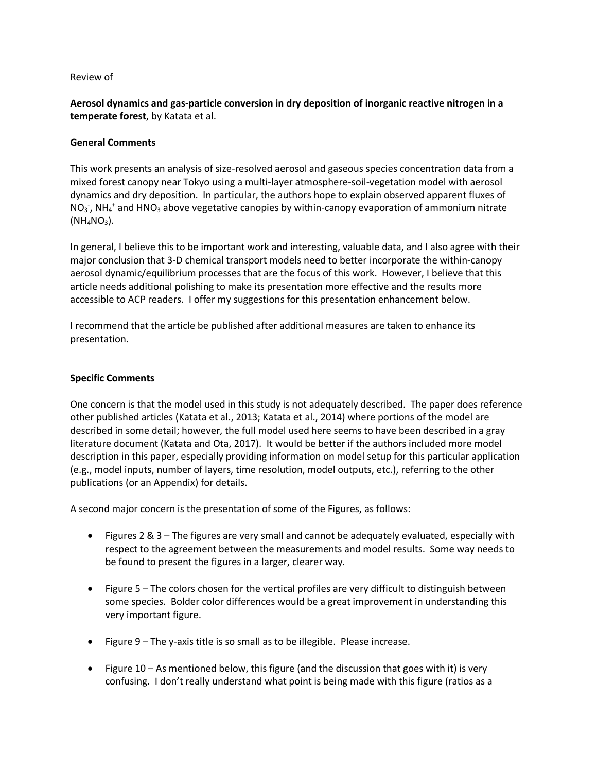## Review of

**Aerosol dynamics and gas-particle conversion in dry deposition of inorganic reactive nitrogen in a temperate forest**, by Katata et al.

## **General Comments**

This work presents an analysis of size-resolved aerosol and gaseous species concentration data from a mixed forest canopy near Tokyo using a multi-layer atmosphere-soil-vegetation model with aerosol dynamics and dry deposition. In particular, the authors hope to explain observed apparent fluxes of  $NO<sub>3</sub>$ , NH<sub>4</sub><sup>+</sup> and HNO<sub>3</sub> above vegetative canopies by within-canopy evaporation of ammonium nitrate  $(NH_4NO_3)$ .

In general, I believe this to be important work and interesting, valuable data, and I also agree with their major conclusion that 3-D chemical transport models need to better incorporate the within-canopy aerosol dynamic/equilibrium processes that are the focus of this work. However, I believe that this article needs additional polishing to make its presentation more effective and the results more accessible to ACP readers. I offer my suggestions for this presentation enhancement below.

I recommend that the article be published after additional measures are taken to enhance its presentation.

## **Specific Comments**

One concern is that the model used in this study is not adequately described. The paper does reference other published articles (Katata et al., 2013; Katata et al., 2014) where portions of the model are described in some detail; however, the full model used here seems to have been described in a gray literature document (Katata and Ota, 2017). It would be better if the authors included more model description in this paper, especially providing information on model setup for this particular application (e.g., model inputs, number of layers, time resolution, model outputs, etc.), referring to the other publications (or an Appendix) for details.

A second major concern is the presentation of some of the Figures, as follows:

- Figures 2 & 3 The figures are very small and cannot be adequately evaluated, especially with respect to the agreement between the measurements and model results. Some way needs to be found to present the figures in a larger, clearer way.
- Figure 5 The colors chosen for the vertical profiles are very difficult to distinguish between some species. Bolder color differences would be a great improvement in understanding this very important figure.
- Figure 9 The y-axis title is so small as to be illegible. Please increase.
- Figure 10 As mentioned below, this figure (and the discussion that goes with it) is very confusing. I don't really understand what point is being made with this figure (ratios as a